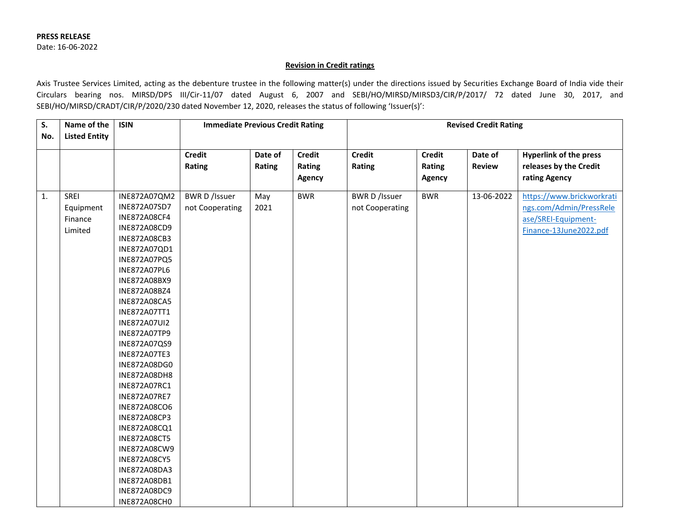## **Revision in Credit ratings**

Axis Trustee Services Limited, acting as the debenture trustee in the following matter(s) under the directions issued by Securities Exchange Board of India vide their Circulars bearing nos. MIRSD/DPS III/Cir-11/07 dated August 6, 2007 and SEBI/HO/MIRSD/MIRSD3/CIR/P/2017/ 72 dated June 30, 2017, and SEBI/HO/MIRSD/CRADT/CIR/P/2020/230 dated November 12, 2020, releases the status of following 'Issuer(s)':

| S.  | Name of the          | <b>ISIN</b>         | <b>Immediate Previous Credit Rating</b> |         |               | <b>Revised Credit Rating</b> |               |               |                               |
|-----|----------------------|---------------------|-----------------------------------------|---------|---------------|------------------------------|---------------|---------------|-------------------------------|
| No. | <b>Listed Entity</b> |                     |                                         |         |               |                              |               |               |                               |
|     |                      |                     |                                         |         |               |                              |               |               |                               |
|     |                      |                     | <b>Credit</b>                           | Date of | <b>Credit</b> | <b>Credit</b>                | <b>Credit</b> | Date of       | <b>Hyperlink of the press</b> |
|     |                      |                     | Rating                                  | Rating  | Rating        | Rating                       | Rating        | <b>Review</b> | releases by the Credit        |
|     |                      |                     |                                         |         | Agency        |                              | Agency        |               | rating Agency                 |
| 1.  | SREI                 | INE872A07QM2        | <b>BWR D /Issuer</b>                    | May     | <b>BWR</b>    | <b>BWR D /Issuer</b>         | <b>BWR</b>    | 13-06-2022    | https://www.brickworkrati     |
|     | Equipment            | INE872A07SD7        | not Cooperating                         | 2021    |               | not Cooperating              |               |               | ngs.com/Admin/PressRele       |
|     | Finance              | <b>INE872A08CF4</b> |                                         |         |               |                              |               |               | ase/SREI-Equipment-           |
|     | Limited              | INE872A08CD9        |                                         |         |               |                              |               |               | Finance-13June2022.pdf        |
|     |                      | INE872A08CB3        |                                         |         |               |                              |               |               |                               |
|     |                      | INE872A07QD1        |                                         |         |               |                              |               |               |                               |
|     |                      | INE872A07PQ5        |                                         |         |               |                              |               |               |                               |
|     |                      | <b>INE872A07PL6</b> |                                         |         |               |                              |               |               |                               |
|     |                      | INE872A08BX9        |                                         |         |               |                              |               |               |                               |
|     |                      | INE872A08BZ4        |                                         |         |               |                              |               |               |                               |
|     |                      | <b>INE872A08CA5</b> |                                         |         |               |                              |               |               |                               |
|     |                      | INE872A07TT1        |                                         |         |               |                              |               |               |                               |
|     |                      | INE872A07UI2        |                                         |         |               |                              |               |               |                               |
|     |                      | INE872A07TP9        |                                         |         |               |                              |               |               |                               |
|     |                      | INE872A07QS9        |                                         |         |               |                              |               |               |                               |
|     |                      | <b>INE872A07TE3</b> |                                         |         |               |                              |               |               |                               |
|     |                      | INE872A08DG0        |                                         |         |               |                              |               |               |                               |
|     |                      | <b>INE872A08DH8</b> |                                         |         |               |                              |               |               |                               |
|     |                      | INE872A07RC1        |                                         |         |               |                              |               |               |                               |
|     |                      | <b>INE872A07RE7</b> |                                         |         |               |                              |               |               |                               |
|     |                      | <b>INE872A08CO6</b> |                                         |         |               |                              |               |               |                               |
|     |                      | INE872A08CP3        |                                         |         |               |                              |               |               |                               |
|     |                      | INE872A08CQ1        |                                         |         |               |                              |               |               |                               |
|     |                      | <b>INE872A08CT5</b> |                                         |         |               |                              |               |               |                               |
|     |                      | INE872A08CW9        |                                         |         |               |                              |               |               |                               |
|     |                      | <b>INE872A08CY5</b> |                                         |         |               |                              |               |               |                               |
|     |                      | INE872A08DA3        |                                         |         |               |                              |               |               |                               |
|     |                      | INE872A08DB1        |                                         |         |               |                              |               |               |                               |
|     |                      | INE872A08DC9        |                                         |         |               |                              |               |               |                               |
|     |                      | <b>INE872A08CH0</b> |                                         |         |               |                              |               |               |                               |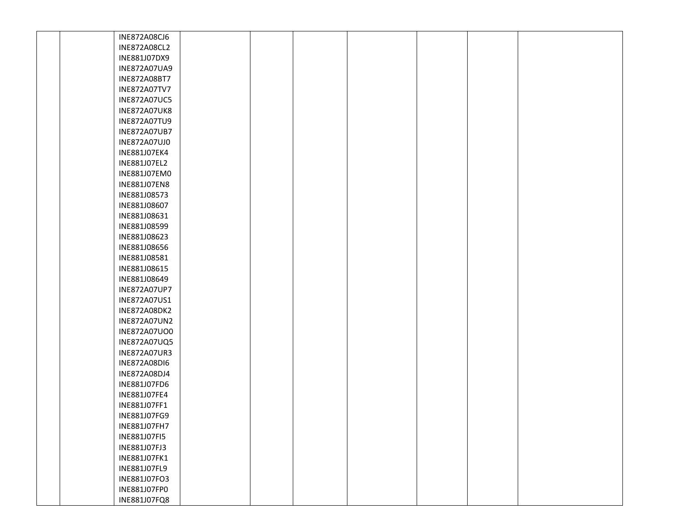| <b>INE872A08CJ6</b> |  |  |  |  |
|---------------------|--|--|--|--|
| INE872A08CL2        |  |  |  |  |
| INE881J07DX9        |  |  |  |  |
| INE872A07UA9        |  |  |  |  |
| INE872A08BT7        |  |  |  |  |
| <b>INE872A07TV7</b> |  |  |  |  |
| <b>INE872A07UC5</b> |  |  |  |  |
| <b>INE872A07UK8</b> |  |  |  |  |
| INE872A07TU9        |  |  |  |  |
| INE872A07UB7        |  |  |  |  |
| INE872A07UJ0        |  |  |  |  |
| INE881J07EK4        |  |  |  |  |
| INE881J07EL2        |  |  |  |  |
| INE881J07EM0        |  |  |  |  |
| INE881J07EN8        |  |  |  |  |
| INE881J08573        |  |  |  |  |
| INE881J08607        |  |  |  |  |
| INE881J08631        |  |  |  |  |
| INE881J08599        |  |  |  |  |
| INE881J08623        |  |  |  |  |
| INE881J08656        |  |  |  |  |
| INE881J08581        |  |  |  |  |
| INE881J08615        |  |  |  |  |
| INE881J08649        |  |  |  |  |
| INE872A07UP7        |  |  |  |  |
| INE872A07US1        |  |  |  |  |
| <b>INE872A08DK2</b> |  |  |  |  |
| INE872A07UN2        |  |  |  |  |
| INE872A07UO0        |  |  |  |  |
| INE872A07UQ5        |  |  |  |  |
| INE872A07UR3        |  |  |  |  |
| <b>INE872A08DI6</b> |  |  |  |  |
| INE872A08DJ4        |  |  |  |  |
| INE881J07FD6        |  |  |  |  |
| INE881J07FE4        |  |  |  |  |
| INE881J07FF1        |  |  |  |  |
| INE881J07FG9        |  |  |  |  |
| INE881J07FH7        |  |  |  |  |
| INE881J07FI5        |  |  |  |  |
| INE881J07FJ3        |  |  |  |  |
| INE881J07FK1        |  |  |  |  |
| INE881J07FL9        |  |  |  |  |
| INE881J07FO3        |  |  |  |  |
| INE881J07FP0        |  |  |  |  |
| INE881J07FQ8        |  |  |  |  |